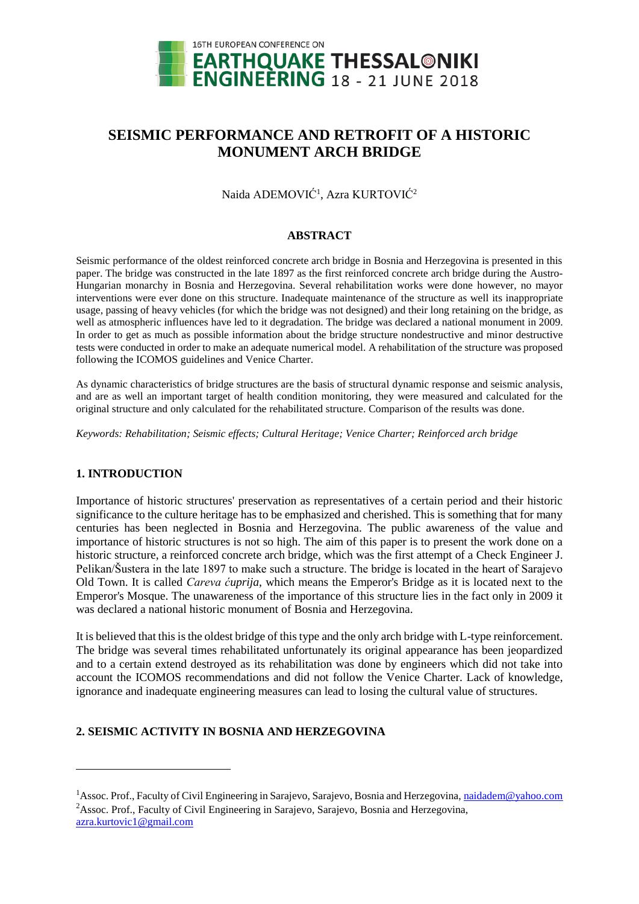

# **SEISMIC PERFORMANCE AND RETROFIT OF A HISTORIC MONUMENT ARCH BRIDGE**

Naida ADEMOVIĆ<sup>1</sup>, Azra KURTOVIĆ<sup>2</sup>

### **ABSTRACT**

Seismic performance of the oldest reinforced concrete arch bridge in Bosnia and Herzegovina is presented in this paper. The bridge was constructed in the late 1897 as the first reinforced concrete arch bridge during the Austro-Hungarian monarchy in Bosnia and Herzegovina. Several rehabilitation works were done however, no mayor interventions were ever done on this structure. Inadequate maintenance of the structure as well its inappropriate usage, passing of heavy vehicles (for which the bridge was not designed) and their long retaining on the bridge, as well as atmospheric influences have led to it degradation. The bridge was declared a national monument in 2009. In order to get as much as possible information about the bridge structure nondestructive and minor destructive tests were conducted in order to make an adequate numerical model. A rehabilitation of the structure was proposed following the ICOMOS guidelines and Venice Charter.

As dynamic characteristics of bridge structures are the basis of structural dynamic response and seismic analysis, and are as well an important target of health condition monitoring, they were measured and calculated for the original structure and only calculated for the rehabilitated structure. Comparison of the results was done.

*Keywords: Rehabilitation; Seismic effects; Cultural Heritage; Venice Charter; Reinforced arch bridge*

### **1. INTRODUCTION**

l

Importance of historic structures' preservation as representatives of a certain period and their historic significance to the culture heritage has to be emphasized and cherished. This is something that for many centuries has been neglected in Bosnia and Herzegovina. The public awareness of the value and importance of historic structures is not so high. The aim of this paper is to present the work done on a historic structure, a reinforced concrete arch bridge, which was the first attempt of a Check Engineer J. Pelikan/Šustera in the late 1897 to make such a structure. The bridge is located in the heart of Sarajevo Old Town. It is called *Careva ćuprija*, which means the Emperor's Bridge as it is located next to the Emperor's Mosque. The unawareness of the importance of this structure lies in the fact only in 2009 it was declared a national historic monument of Bosnia and Herzegovina.

It is believed that this is the oldest bridge of this type and the only arch bridge with L-type reinforcement. The bridge was several times rehabilitated unfortunately its original appearance has been jeopardized and to a certain extend destroyed as its rehabilitation was done by engineers which did not take into account the ICOMOS recommendations and did not follow the Venice Charter. Lack of knowledge, ignorance and inadequate engineering measures can lead to losing the cultural value of structures.

## **2. SEISMIC ACTIVITY IN BOSNIA AND HERZEGOVINA**

<sup>&</sup>lt;sup>1</sup>Assoc. Prof., Faculty of Civil Engineering in Sarajevo, Sarajevo, Bosnia and Herzegovina, [naidadem@yahoo.com](mailto:naidadem@yahoo.com) <sup>2</sup>Assoc. Prof., Faculty of Civil Engineering in Sarajevo, Sarajevo, Bosnia and Herzegovina, [azra.kurtovic1@gmail.com](mailto:azra.kurtovic1@gmail.com)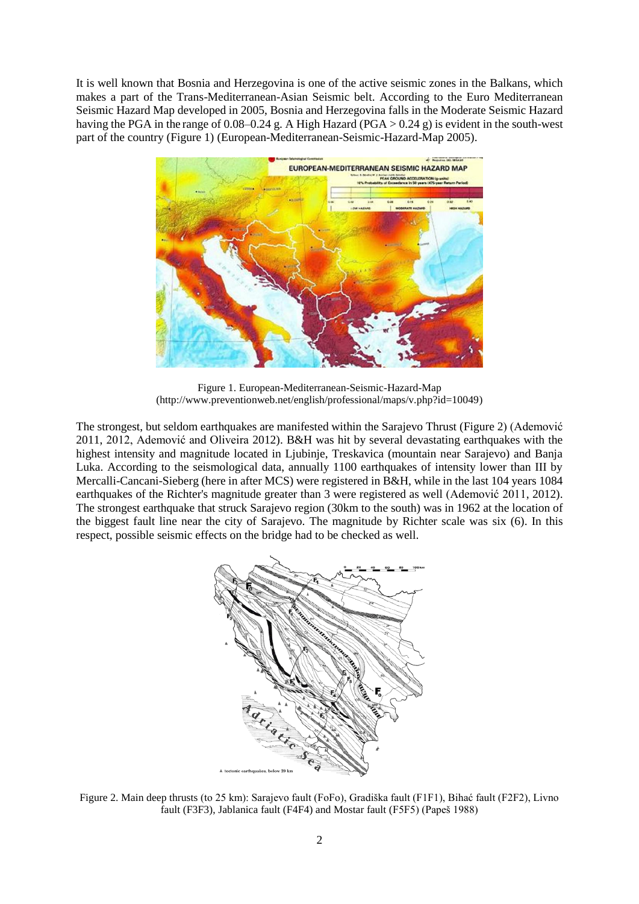It is well known that Bosnia and Herzegovina is one of the active seismic zones in the Balkans, which makes a part of the Trans-Mediterranean-Asian Seismic belt. According to the Euro Mediterranean Seismic Hazard Map developed in 2005, Bosnia and Herzegovina falls in the Moderate Seismic Hazard having the PGA in the range of 0.08–0.24 g. A High Hazard (PGA  $> 0.24$  g) is evident in the south-west part of the country (Figure 1) (European-Mediterranean-Seismic-Hazard-Map 2005).



Figure 1. European-Mediterranean-Seismic-Hazard-Map (http://www.preventionweb.net/english/professional/maps/v.php?id=10049)

The strongest, but seldom earthquakes are manifested within the Sarajevo Thrust (Figure 2) (Ademović 2011, 2012, Ademović and Oliveira 2012). B&H was hit by several devastating earthquakes with the highest intensity and magnitude located in Liubinie, Treskavica (mountain near Sarajevo) and Banja Luka. According to the seismological data, annually 1100 earthquakes of intensity lower than III by Mercalli-Cancani-Sieberg (here in after MCS) were registered in B&H, while in the last 104 years 1084 earthquakes of the Richter's magnitude greater than 3 were registered as well (Ademović 2011, 2012). The strongest earthquake that struck Sarajevo region (30km to the south) was in 1962 at the location of the biggest fault line near the city of Sarajevo. The magnitude by Richter scale was six (6). In this respect, possible seismic effects on the bridge had to be checked as well.



Figure 2. Main deep thrusts (to 25 km): Sarajevo fault (FoFo), Gradiška fault (F1F1), Bihać fault (F2F2), Livno fault (F3F3), Jablanica fault (F4F4) and Mostar fault (F5F5) (Papeš 1988)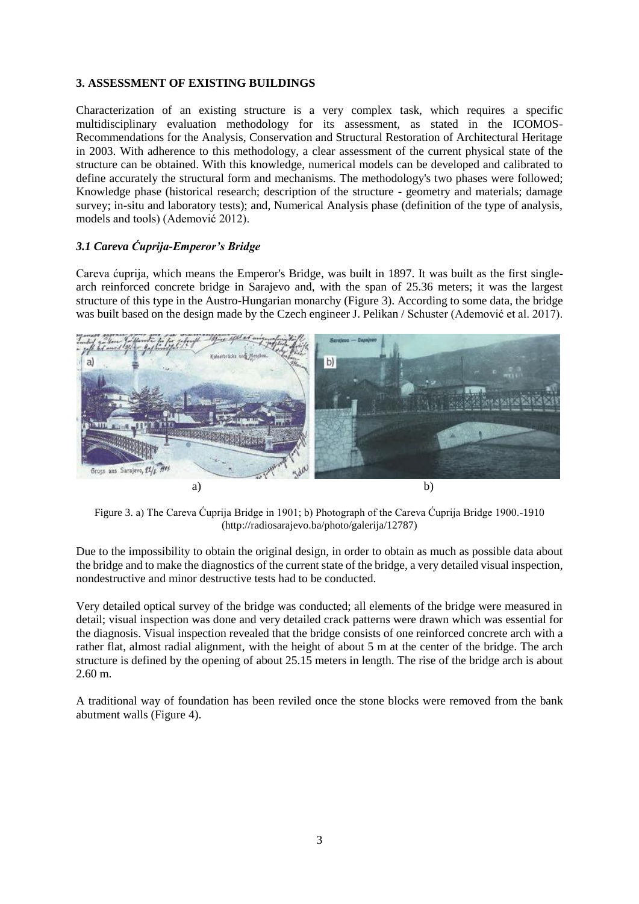### **3. ASSESSMENT OF EXISTING BUILDINGS**

Characterization of an existing structure is a very complex task, which requires a specific multidisciplinary evaluation methodology for its assessment, as stated in the ICOMOS-Recommendations for the Analysis, Conservation and Structural Restoration of Architectural Heritage in 2003. With adherence to this methodology, a clear assessment of the current physical state of the structure can be obtained. With this knowledge, numerical models can be developed and calibrated to define accurately the structural form and mechanisms. The methodology's two phases were followed; Knowledge phase (historical research; description of the structure - geometry and materials; damage survey; in-situ and laboratory tests); and, Numerical Analysis phase (definition of the type of analysis, models and tools) (Ademović 2012).

# *3.1 Careva Ćuprija-Emperor's Bridge*

Careva ćuprija, which means the Emperor's Bridge, was built in 1897. It was built as the first singlearch reinforced concrete bridge in Sarajevo and, with the span of 25.36 meters; it was the largest structure of this type in the Austro-Hungarian monarchy (Figure 3). According to some data, the bridge was built based on the design made by the Czech engineer J. Pelikan / Schuster (Ademović et al. 2017).



Figure 3. a) The Careva Ćuprija Bridge in 1901; b) Photograph of the Careva Ćuprija Bridge 1900.-1910 (http://radiosarajevo.ba/photo/galerija/12787)

Due to the impossibility to obtain the original design, in order to obtain as much as possible data about the bridge and to make the diagnostics of the current state of the bridge, a very detailed visual inspection, nondestructive and minor destructive tests had to be conducted.

Very detailed optical survey of the bridge was conducted; all elements of the bridge were measured in detail; visual inspection was done and very detailed crack patterns were drawn which was essential for the diagnosis. Visual inspection revealed that the bridge consists of one reinforced concrete arch with a rather flat, almost radial alignment, with the height of about 5 m at the center of the bridge. The arch structure is defined by the opening of about 25.15 meters in length. The rise of the bridge arch is about 2.60 m.

A traditional way of foundation has been reviled once the stone blocks were removed from the bank abutment walls (Figure 4).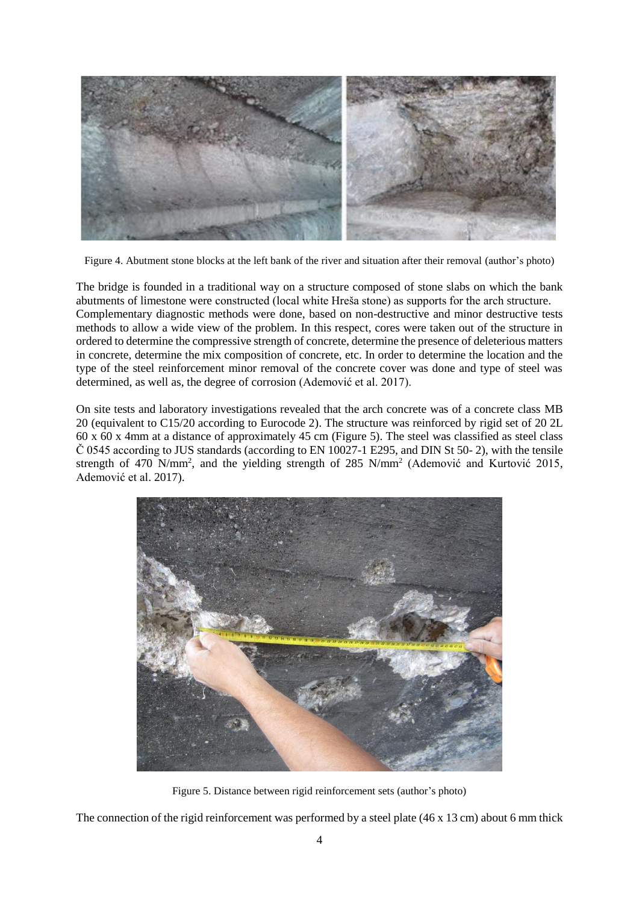

Figure 4. Abutment stone blocks at the left bank of the river and situation after their removal (author's photo)

The bridge is founded in a traditional way on a structure composed of stone slabs on which the bank abutments of limestone were constructed (local white Hreša stone) as supports for the arch structure. Complementary diagnostic methods were done, based on non-destructive and minor destructive tests methods to allow a wide view of the problem. In this respect, cores were taken out of the structure in ordered to determine the compressive strength of concrete, determine the presence of deleterious matters in concrete, determine the mix composition of concrete, etc. In order to determine the location and the type of the steel reinforcement minor removal of the concrete cover was done and type of steel was determined, as well as, the degree of corrosion (Ademović et al. 2017).

On site tests and laboratory investigations revealed that the arch concrete was of a concrete class MB 20 (equivalent to C15/20 according to Eurocode 2). The structure was reinforced by rigid set of 20 2L 60 x 60 x 4mm at a distance of approximately 45 cm (Figure 5). The steel was classified as steel class Č 0545 according to JUS standards (according to EN 10027-1 E295, and DIN St 50- 2), with the tensile strength of 470 N/mm<sup>2</sup>, and the yielding strength of 285 N/mm<sup>2</sup> (Ademović and Kurtović 2015, Ademović et al. 2017).



Figure 5. Distance between rigid reinforcement sets (author's photo)

The connection of the rigid reinforcement was performed by a steel plate (46 x 13 cm) about 6 mm thick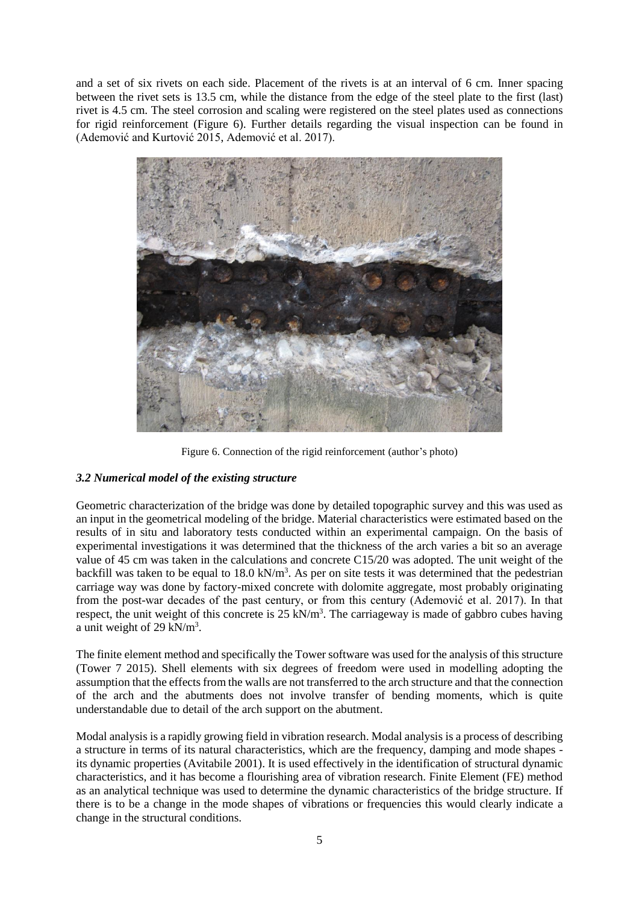and a set of six rivets on each side. Placement of the rivets is at an interval of 6 cm. Inner spacing between the rivet sets is 13.5 cm, while the distance from the edge of the steel plate to the first (last) rivet is 4.5 cm. The steel corrosion and scaling were registered on the steel plates used as connections for rigid reinforcement (Figure 6). Further details regarding the visual inspection can be found in (Ademović and Kurtović 2015, Ademović et al. 2017).



Figure 6. Connection of the rigid reinforcement (author's photo)

## *3.2 Numerical model of the existing structure*

Geometric characterization of the bridge was done by detailed topographic survey and this was used as an input in the geometrical modeling of the bridge. Material characteristics were estimated based on the results of in situ and laboratory tests conducted within an experimental campaign. On the basis of experimental investigations it was determined that the thickness of the arch varies a bit so an average value of 45 cm was taken in the calculations and concrete C15/20 was adopted. The unit weight of the backfill was taken to be equal to  $18.0 \text{ kN/m}^3$ . As per on site tests it was determined that the pedestrian carriage way was done by factory-mixed concrete with dolomite aggregate, most probably originating from the post-war decades of the past century, or from this century (Ademović et al. 2017). In that respect, the unit weight of this concrete is  $25 \text{ kN/m}^3$ . The carriageway is made of gabbro cubes having a unit weight of 29 kN/ $m<sup>3</sup>$ .

The finite element method and specifically the Tower software was used for the analysis of this structure (Tower 7 2015). Shell elements with six degrees of freedom were used in modelling adopting the assumption that the effects from the walls are not transferred to the arch structure and that the connection of the arch and the abutments does not involve transfer of bending moments, which is quite understandable due to detail of the arch support on the abutment.

Modal analysis is a rapidly growing field in vibration research. Modal analysis is a process of describing a structure in terms of its natural characteristics, which are the frequency, damping and mode shapes its dynamic properties (Avitabile 2001). It is used effectively in the identification of structural dynamic characteristics, and it has become a flourishing area of vibration research. Finite Element (FE) method as an analytical technique was used to determine the dynamic characteristics of the bridge structure. If there is to be a change in the mode shapes of vibrations or frequencies this would clearly indicate a change in the structural conditions.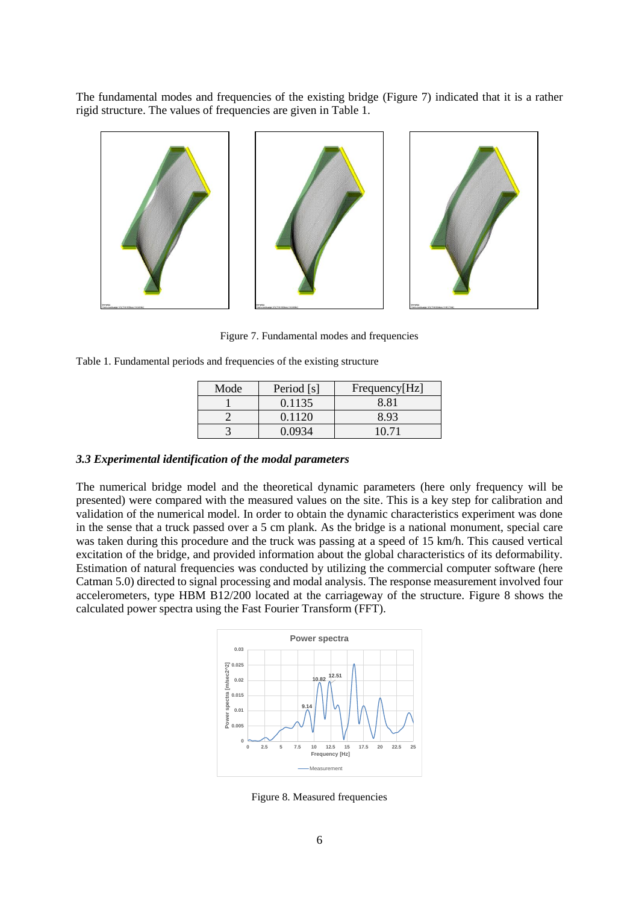The fundamental modes and frequencies of the existing bridge (Figure 7) indicated that it is a rather rigid structure. The values of frequencies are given in Table 1.



Figure 7. Fundamental modes and frequencies

| Table 1. Fundamental periods and frequencies of the existing structure |
|------------------------------------------------------------------------|
|------------------------------------------------------------------------|

| Mode | Period [s] | Frequency[Hz] |
|------|------------|---------------|
|      | 0.1135     | 8 81          |
|      | 0.1120     | 8.93          |
|      |            | 10 71         |

#### *3.3 Experimental identification of the modal parameters*

The numerical bridge model and the theoretical dynamic parameters (here only frequency will be presented) were compared with the measured values on the site. This is a key step for calibration and validation of the numerical model. In order to obtain the dynamic characteristics experiment was done in the sense that a truck passed over a 5 cm plank. As the bridge is a national monument, special care was taken during this procedure and the truck was passing at a speed of 15 km/h. This caused vertical excitation of the bridge, and provided information about the global characteristics of its deformability. Estimation of natural frequencies was conducted by utilizing the commercial computer software (here Catman 5.0) directed to signal processing and modal analysis. The response measurement involved four accelerometers, type HBM B12/200 located at the carriageway of the structure. Figure 8 shows the calculated power spectra using the Fast Fourier Transform (FFT).



Figure 8. Measured frequencies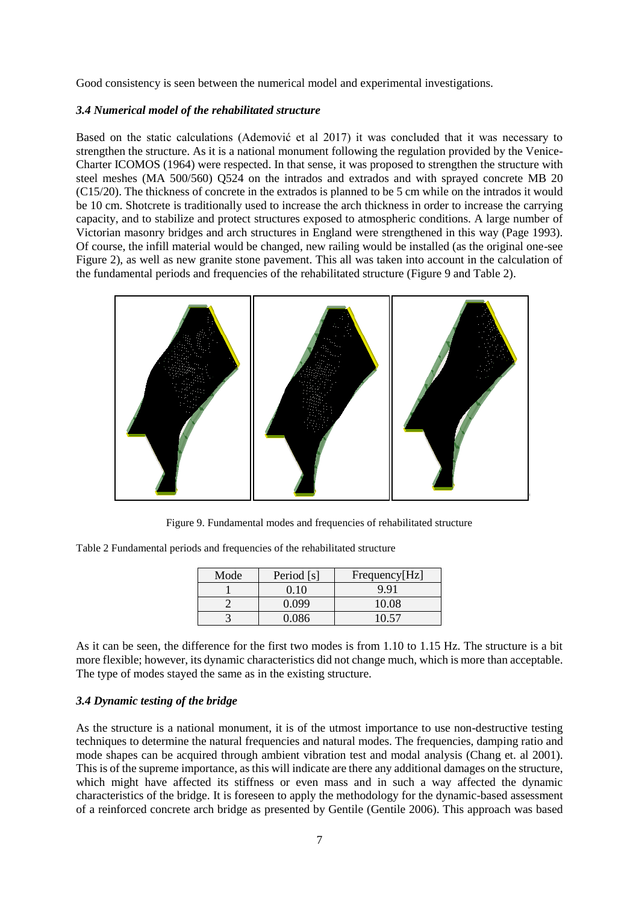Good consistency is seen between the numerical model and experimental investigations.

### *3.4 Numerical model of the rehabilitated structure*

Based on the static calculations (Ademović et al 2017) it was concluded that it was necessary to strengthen the structure. As it is a national monument following the regulation provided by the Venice-Charter ICOMOS (1964) were respected. In that sense, it was proposed to strengthen the structure with steel meshes (MA 500/560) Q524 on the intrados and extrados and with sprayed concrete MB 20 (C15/20). The thickness of concrete in the extrados is planned to be 5 cm while on the intrados it would be 10 cm. Shotcrete is traditionally used to increase the arch thickness in order to increase the carrying capacity, and to stabilize and protect structures exposed to atmospheric conditions. A large number of Victorian masonry bridges and arch structures in England were strengthened in this way (Page 1993). Of course, the infill material would be changed, new railing would be installed (as the original one-see Figure 2), as well as new granite stone pavement. This all was taken into account in the calculation of the fundamental periods and frequencies of the rehabilitated structure (Figure 9 and Table 2).



Figure 9. Fundamental modes and frequencies of rehabilitated structure

| Table 2 Fundamental periods and frequencies of the rehabilitated structure |  |  |  |
|----------------------------------------------------------------------------|--|--|--|
|                                                                            |  |  |  |

| Mode | Period [s] | Frequency[Hz] |
|------|------------|---------------|
|      | 0.10       | 9.91          |
|      | 0.099      | 10.08         |
|      | 0.086      | 10 57         |

As it can be seen, the difference for the first two modes is from 1.10 to 1.15 Hz. The structure is a bit more flexible; however, its dynamic characteristics did not change much, which is more than acceptable. The type of modes stayed the same as in the existing structure.

### *3.4 Dynamic testing of the bridge*

As the structure is a national monument, it is of the utmost importance to use non-destructive testing techniques to determine the natural frequencies and natural modes. The frequencies, damping ratio and mode shapes can be acquired through ambient vibration test and modal analysis (Chang et. al 2001). This is of the supreme importance, as this will indicate are there any additional damages on the structure, which might have affected its stiffness or even mass and in such a way affected the dynamic characteristics of the bridge. It is foreseen to apply the methodology for the dynamic-based assessment of a reinforced concrete arch bridge as presented by Gentile (Gentile 2006). This approach was based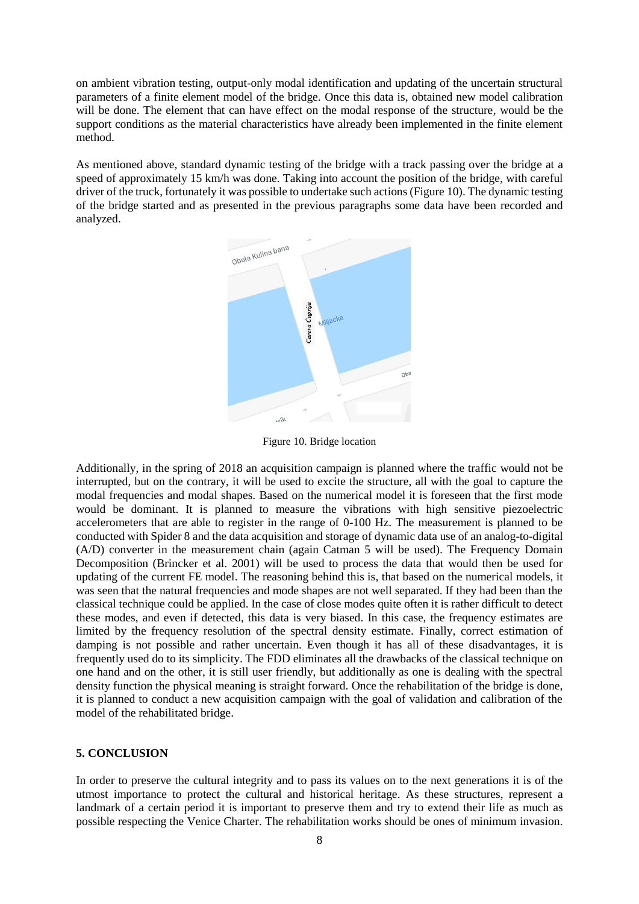on ambient vibration testing, output-only modal identification and updating of the uncertain structural parameters of a finite element model of the bridge. Once this data is, obtained new model calibration will be done. The element that can have effect on the modal response of the structure, would be the support conditions as the material characteristics have already been implemented in the finite element method.

As mentioned above, standard dynamic testing of the bridge with a track passing over the bridge at a speed of approximately 15 km/h was done. Taking into account the position of the bridge, with careful driver of the truck, fortunately it was possible to undertake such actions (Figure 10). The dynamic testing of the bridge started and as presented in the previous paragraphs some data have been recorded and analyzed.



Figure 10. Bridge location

Additionally, in the spring of 2018 an acquisition campaign is planned where the traffic would not be interrupted, but on the contrary, it will be used to excite the structure, all with the goal to capture the modal frequencies and modal shapes. Based on the numerical model it is foreseen that the first mode would be dominant. It is planned to measure the vibrations with high sensitive piezoelectric accelerometers that are able to register in the range of 0-100 Hz. The measurement is planned to be conducted with Spider 8 and the data acquisition and storage of dynamic data use of an analog-to-digital (A/D) converter in the measurement chain (again Catman 5 will be used). The Frequency Domain Decomposition (Brincker et al. 2001) will be used to process the data that would then be used for updating of the current FE model. The reasoning behind this is, that based on the numerical models, it was seen that the natural frequencies and mode shapes are not well separated. If they had been than the classical technique could be applied. In the case of close modes quite often it is rather difficult to detect these modes, and even if detected, this data is very biased. In this case, the frequency estimates are limited by the frequency resolution of the spectral density estimate. Finally, correct estimation of damping is not possible and rather uncertain. Even though it has all of these disadvantages, it is frequently used do to its simplicity. The FDD eliminates all the drawbacks of the classical technique on one hand and on the other, it is still user friendly, but additionally as one is dealing with the spectral density function the physical meaning is straight forward. Once the rehabilitation of the bridge is done, it is planned to conduct a new acquisition campaign with the goal of validation and calibration of the model of the rehabilitated bridge.

#### **5. CONCLUSION**

In order to preserve the cultural integrity and to pass its values on to the next generations it is of the utmost importance to protect the cultural and historical heritage. As these structures, represent a landmark of a certain period it is important to preserve them and try to extend their life as much as possible respecting the Venice Charter. The rehabilitation works should be ones of minimum invasion.